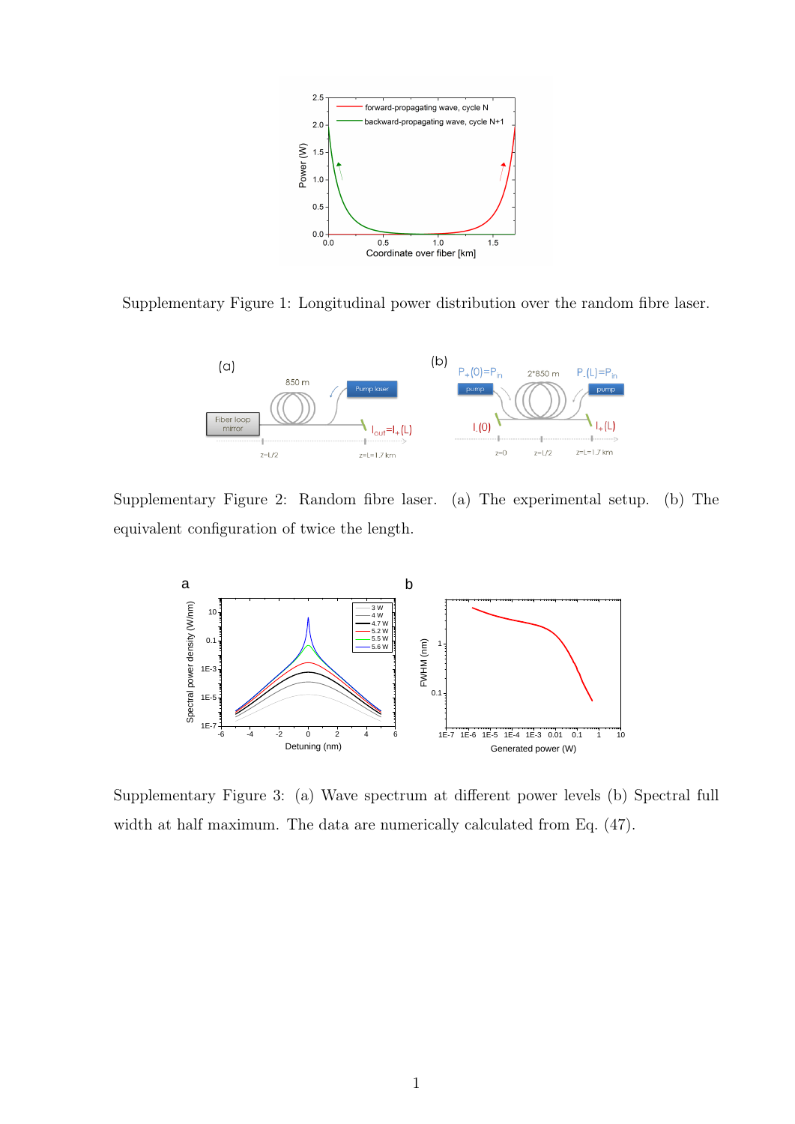

Supplementary Figure 1: Longitudinal power distribution over the random fibre laser.



Supplementary Figure 2: Random fibre laser. (a) The experimental setup. (b) The equivalent configuration of twice the length.



Supplementary Figure 3: (a) Wave spectrum at different power levels (b) Spectral full width at half maximum. The data are numerically calculated from Eq. (47).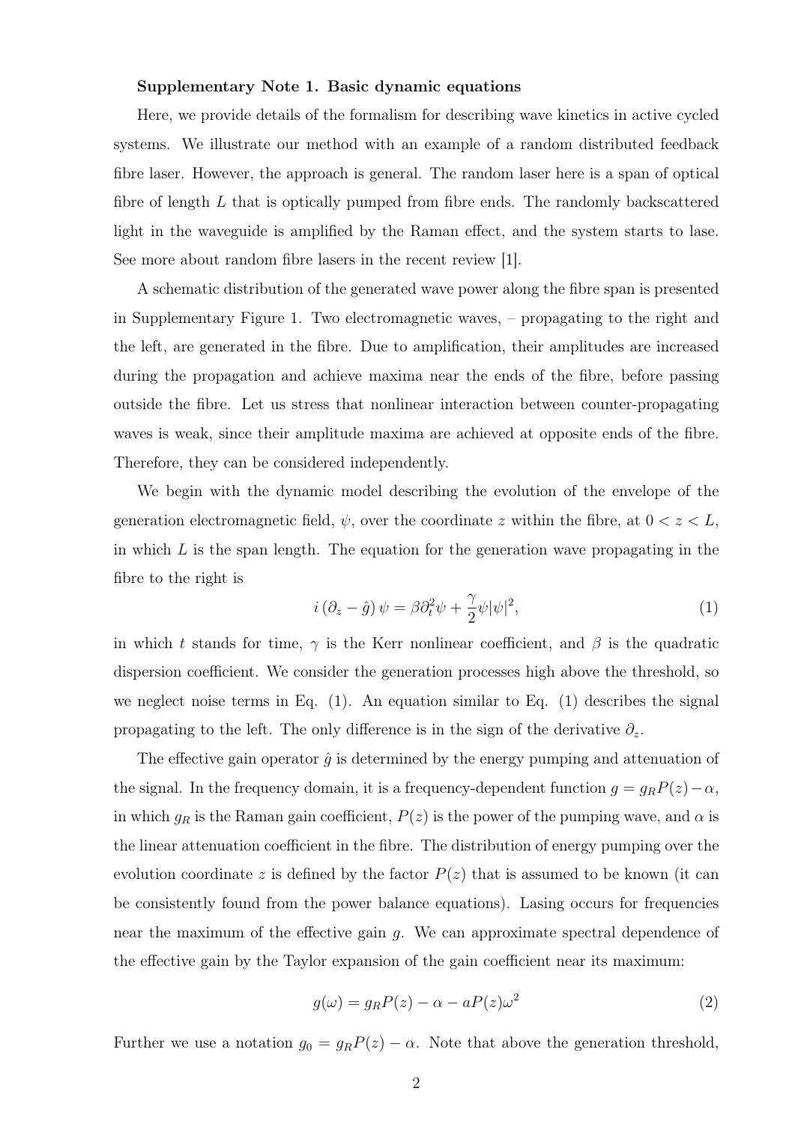## Supplementary Note 1. Basic dynamic equations

Here, we provide details of the formalism for describing wave kinetics in active cycled systems. We illustrate our method with an example of a random distributed feedback fibre laser. However, the approach is general. The random laser here is a span of optical fibre of length  $L$  that is optically pumped from fibre ends. The randomly backscattered light in the waveguide is amplified by the Raman effect, and the system starts to lase. See more about random fibre lasers in the recent review [1].

A schematic distribution of the generated wave power along the fibre span is presented in Supplementary Figure 1. Two electromagnetic waves, – propagating to the right and the left, are generated in the fibre. Due to amplification, their amplitudes are increased during the propagation and achieve maxima near the ends of the fibre, before passing outside the fibre. Let us stress that nonlinear interaction between counter-propagating waves is weak, since their amplitude maxima are achieved at opposite ends of the fibre. Therefore, they can be considered independently.

We begin with the dynamic model describing the evolution of the envelope of the generation electromagnetic field,  $\psi$ , over the coordinate z within the fibre, at  $0 < z < L$ , in which  $L$  is the span length. The equation for the generation wave propagating in the fibre to the right is

$$
i\left(\partial_z - \hat{g}\right)\psi = \beta \partial_t^2 \psi + \frac{\gamma}{2} \psi |\psi|^2, \tag{1}
$$

in which t stands for time,  $\gamma$  is the Kerr nonlinear coefficient, and  $\beta$  is the quadratic dispersion coefficient. We consider the generation processes high above the threshold, so we neglect noise terms in Eq. (1). An equation similar to Eq. (1) describes the signal propagating to the left. The only difference is in the sign of the derivative  $\partial_z$ .

The effective gain operator  $\hat{g}$  is determined by the energy pumping and attenuation of the signal. In the frequency domain, it is a frequency-dependent function  $g = g_R P(z) - \alpha$ , in which  $g_R$  is the Raman gain coefficient,  $P(z)$  is the power of the pumping wave, and  $\alpha$  is the linear attenuation coefficient in the fibre. The distribution of energy pumping over the evolution coordinate z is defined by the factor  $P(z)$  that is assumed to be known (it can be consistently found from the power balance equations). Lasing occurs for frequencies near the maximum of the effective gain g. We can approximate spectral dependence of the effective gain by the Taylor expansion of the gain coefficient near its maximum:

$$
g(\omega) = g_R P(z) - \alpha - aP(z)\omega^2 \tag{2}
$$

Further we use a notation  $g_0 = g_R P(z) - \alpha$ . Note that above the generation threshold,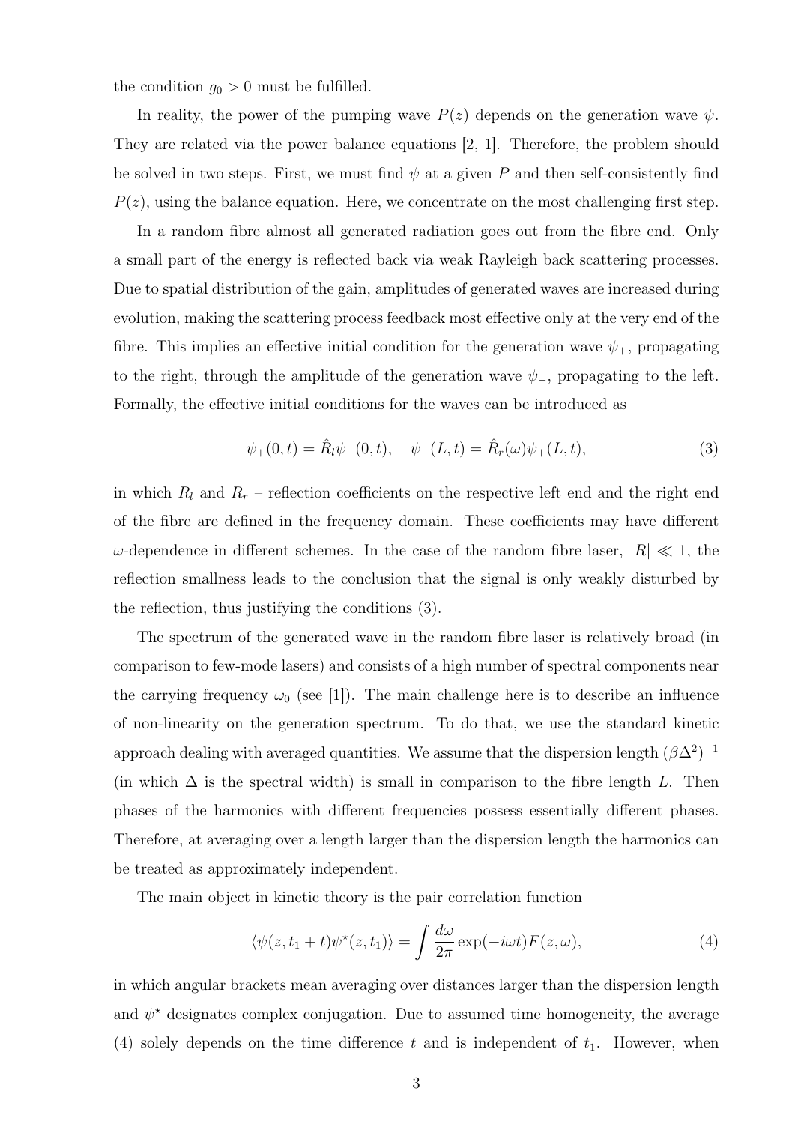the condition  $g_0 > 0$  must be fulfilled.

In reality, the power of the pumping wave  $P(z)$  depends on the generation wave  $\psi$ . They are related via the power balance equations [2, 1]. Therefore, the problem should be solved in two steps. First, we must find  $\psi$  at a given P and then self-consistently find  $P(z)$ , using the balance equation. Here, we concentrate on the most challenging first step.

In a random fibre almost all generated radiation goes out from the fibre end. Only a small part of the energy is reflected back via weak Rayleigh back scattering processes. Due to spatial distribution of the gain, amplitudes of generated waves are increased during evolution, making the scattering process feedback most effective only at the very end of the fibre. This implies an effective initial condition for the generation wave  $\psi_{+}$ , propagating to the right, through the amplitude of the generation wave  $\psi_-,$  propagating to the left. Formally, the effective initial conditions for the waves can be introduced as

$$
\psi_{+}(0,t) = \hat{R}_{l}\psi_{-}(0,t), \quad \psi_{-}(L,t) = \hat{R}_{r}(\omega)\psi_{+}(L,t), \tag{3}
$$

in which  $R_l$  and  $R_r$  – reflection coefficients on the respective left end and the right end of the fibre are defined in the frequency domain. These coefficients may have different  $ω$ -dependence in different schemes. In the case of the random fibre laser,  $|R| \ll 1$ , the reflection smallness leads to the conclusion that the signal is only weakly disturbed by the reflection, thus justifying the conditions (3).

The spectrum of the generated wave in the random fibre laser is relatively broad (in comparison to few-mode lasers) and consists of a high number of spectral components near the carrying frequency  $\omega_0$  (see [1]). The main challenge here is to describe an influence of non-linearity on the generation spectrum. To do that, we use the standard kinetic approach dealing with averaged quantities. We assume that the dispersion length  $(\beta \Delta^2)^{-1}$ (in which  $\Delta$  is the spectral width) is small in comparison to the fibre length L. Then phases of the harmonics with different frequencies possess essentially different phases. Therefore, at averaging over a length larger than the dispersion length the harmonics can be treated as approximately independent.

The main object in kinetic theory is the pair correlation function

$$
\langle \psi(z, t_1 + t) \psi^*(z, t_1) \rangle = \int \frac{d\omega}{2\pi} \exp(-i\omega t) F(z, \omega), \tag{4}
$$

in which angular brackets mean averaging over distances larger than the dispersion length and  $\psi^*$  designates complex conjugation. Due to assumed time homogeneity, the average (4) solely depends on the time difference t and is independent of  $t_1$ . However, when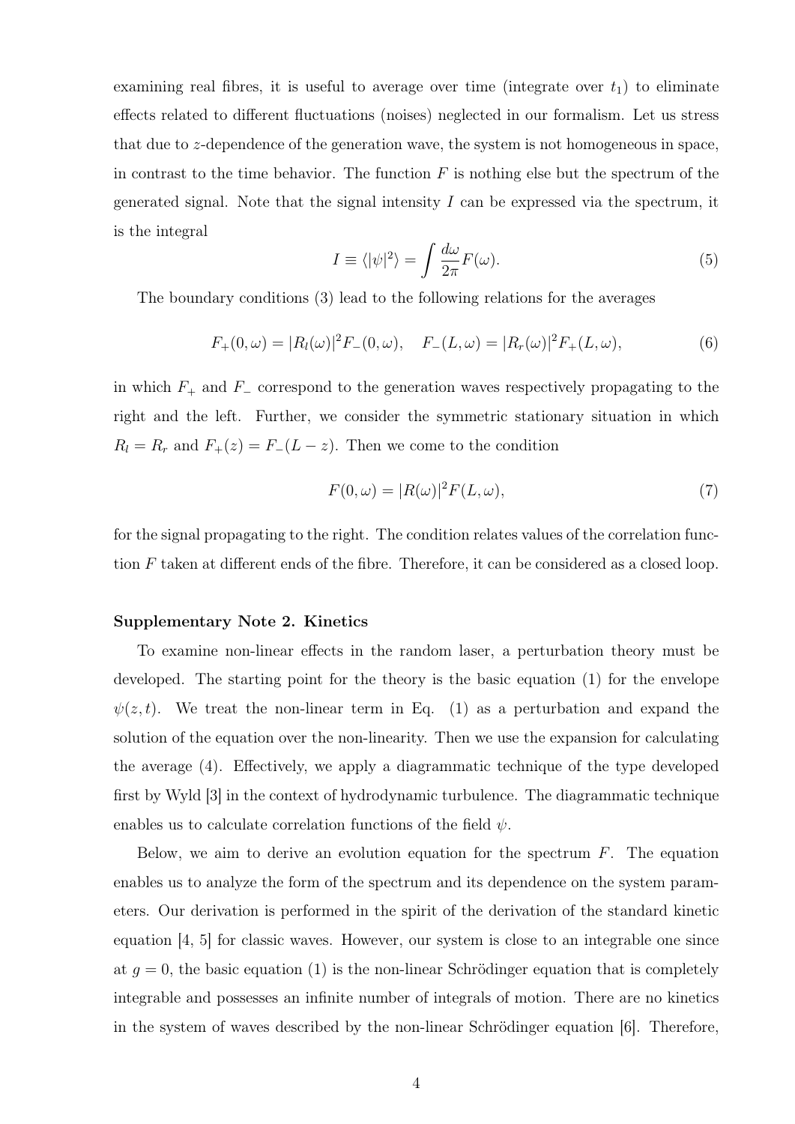examining real fibres, it is useful to average over time (integrate over  $t_1$ ) to eliminate effects related to different fluctuations (noises) neglected in our formalism. Let us stress that due to z-dependence of the generation wave, the system is not homogeneous in space, in contrast to the time behavior. The function  $F$  is nothing else but the spectrum of the generated signal. Note that the signal intensity  $I$  can be expressed via the spectrum, it is the integral

$$
I \equiv \langle |\psi|^2 \rangle = \int \frac{d\omega}{2\pi} F(\omega). \tag{5}
$$

The boundary conditions (3) lead to the following relations for the averages

$$
F_{+}(0,\omega) = |R_{l}(\omega)|^{2} F_{-}(0,\omega), \quad F_{-}(L,\omega) = |R_{r}(\omega)|^{2} F_{+}(L,\omega), \tag{6}
$$

in which  $F_+$  and  $F_-\$  correspond to the generation waves respectively propagating to the right and the left. Further, we consider the symmetric stationary situation in which  $R_l = R_r$  and  $F_+(z) = F_-(L - z)$ . Then we come to the condition

$$
F(0,\omega) = |R(\omega)|^2 F(L,\omega),\tag{7}
$$

for the signal propagating to the right. The condition relates values of the correlation function F taken at different ends of the fibre. Therefore, it can be considered as a closed loop.

## Supplementary Note 2. Kinetics

To examine non-linear effects in the random laser, a perturbation theory must be developed. The starting point for the theory is the basic equation (1) for the envelope  $\psi(z, t)$ . We treat the non-linear term in Eq. (1) as a perturbation and expand the solution of the equation over the non-linearity. Then we use the expansion for calculating the average (4). Effectively, we apply a diagrammatic technique of the type developed first by Wyld [3] in the context of hydrodynamic turbulence. The diagrammatic technique enables us to calculate correlation functions of the field  $\psi$ .

Below, we aim to derive an evolution equation for the spectrum  $F$ . The equation enables us to analyze the form of the spectrum and its dependence on the system parameters. Our derivation is performed in the spirit of the derivation of the standard kinetic equation [4, 5] for classic waves. However, our system is close to an integrable one since at  $g = 0$ , the basic equation (1) is the non-linear Schrödinger equation that is completely integrable and possesses an infinite number of integrals of motion. There are no kinetics in the system of waves described by the non-linear Schrödinger equation  $[6]$ . Therefore,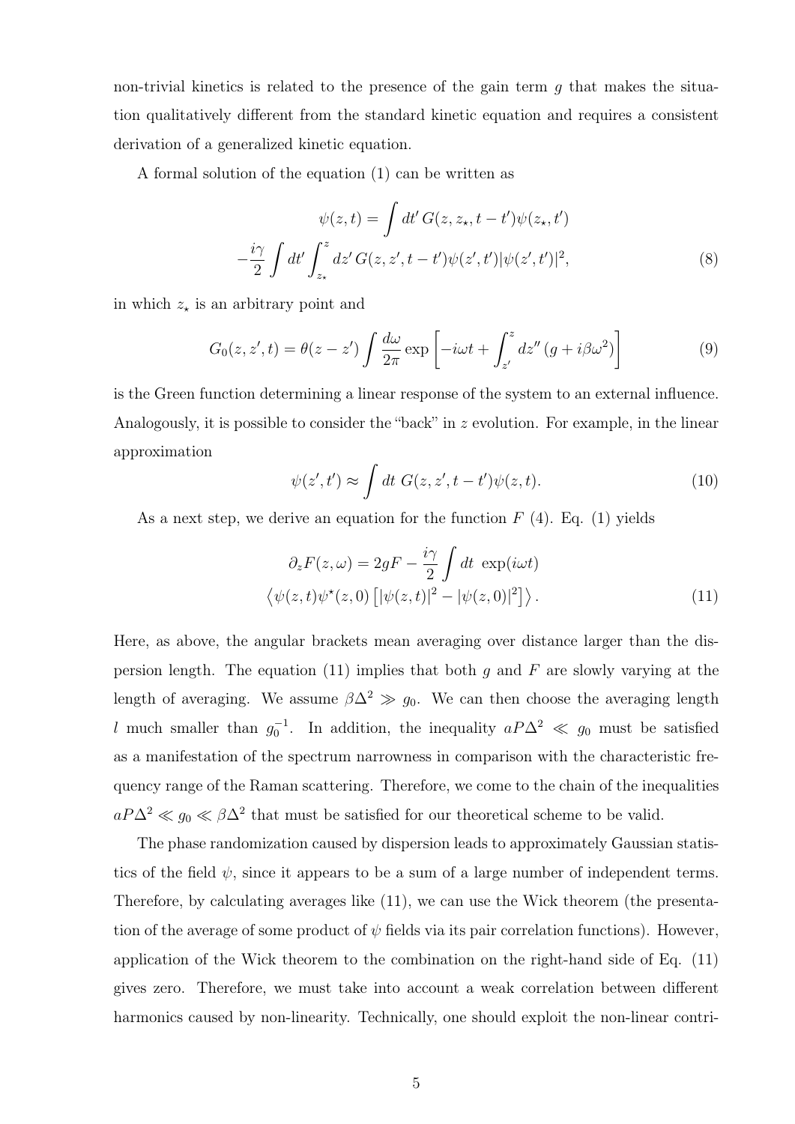non-trivial kinetics is related to the presence of the gain term  $g$  that makes the situation qualitatively different from the standard kinetic equation and requires a consistent derivation of a generalized kinetic equation.

A formal solution of the equation (1) can be written as

$$
\psi(z,t) = \int dt' G(z, z_{\star}, t - t') \psi(z_{\star}, t')
$$

$$
-\frac{i\gamma}{2} \int dt' \int_{z_{\star}}^{z} dz' G(z, z', t - t') \psi(z', t') |\psi(z', t')|^{2}, \tag{8}
$$

in which  $z_{\star}$  is an arbitrary point and

$$
G_0(z, z', t) = \theta(z - z') \int \frac{d\omega}{2\pi} \exp\left[-i\omega t + \int_{z'}^z dz'' (g + i\beta \omega^2)\right]
$$
(9)

is the Green function determining a linear response of the system to an external influence. Analogously, it is possible to consider the "back" in z evolution. For example, in the linear approximation

$$
\psi(z',t') \approx \int dt \ G(z,z',t-t')\psi(z,t). \tag{10}
$$

As a next step, we derive an equation for the function  $F(4)$ . Eq. (1) yields

$$
\partial_z F(z,\omega) = 2gF - \frac{i\gamma}{2} \int dt \exp(i\omega t)
$$

$$
\langle \psi(z,t)\psi^*(z,0) [|\psi(z,t)|^2 - |\psi(z,0)|^2] \rangle.
$$
 (11)

Here, as above, the angular brackets mean averaging over distance larger than the dispersion length. The equation (11) implies that both g and F are slowly varying at the length of averaging. We assume  $\beta \Delta^2 \gg g_0$ . We can then choose the averaging length l much smaller than  $g_0^{-1}$ . In addition, the inequality  $aP\Delta^2 \ll g_0$  must be satisfied as a manifestation of the spectrum narrowness in comparison with the characteristic frequency range of the Raman scattering. Therefore, we come to the chain of the inequalities  $aP\Delta^2 \ll g_0 \ll \beta\Delta^2$  that must be satisfied for our theoretical scheme to be valid.

The phase randomization caused by dispersion leads to approximately Gaussian statistics of the field  $\psi$ , since it appears to be a sum of a large number of independent terms. Therefore, by calculating averages like (11), we can use the Wick theorem (the presentation of the average of some product of  $\psi$  fields via its pair correlation functions). However, application of the Wick theorem to the combination on the right-hand side of Eq. (11) gives zero. Therefore, we must take into account a weak correlation between different harmonics caused by non-linearity. Technically, one should exploit the non-linear contri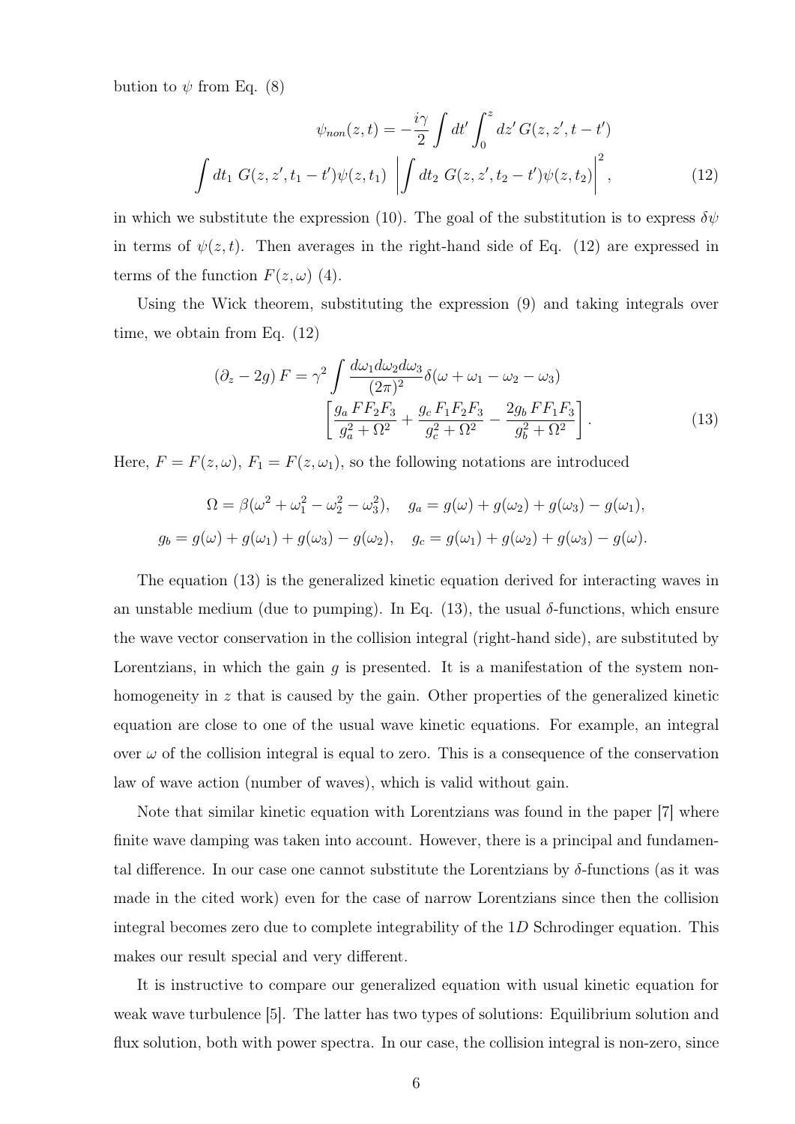bution to  $\psi$  from Eq. (8)

$$
\psi_{non}(z,t) = -\frac{i\gamma}{2} \int dt' \int_0^z dz' G(z, z', t - t')
$$

$$
\int dt_1 G(z, z', t_1 - t') \psi(z, t_1) \left| \int dt_2 G(z, z', t_2 - t') \psi(z, t_2) \right|^2,
$$
(12)

in which we substitute the expression (10). The goal of the substitution is to express  $\delta \psi$ in terms of  $\psi(z, t)$ . Then averages in the right-hand side of Eq. (12) are expressed in terms of the function  $F(z, \omega)$  (4).

Using the Wick theorem, substituting the expression (9) and taking integrals over time, we obtain from Eq. (12)

$$
(\partial_z - 2g) F = \gamma^2 \int \frac{d\omega_1 d\omega_2 d\omega_3}{(2\pi)^2} \delta(\omega + \omega_1 - \omega_2 - \omega_3)
$$

$$
\left[ \frac{g_a F F_2 F_3}{g_a^2 + \Omega^2} + \frac{g_c F_1 F_2 F_3}{g_c^2 + \Omega^2} - \frac{2g_b F F_1 F_3}{g_b^2 + \Omega^2} \right].
$$
(13)

Here,  $F = F(z, \omega)$ ,  $F_1 = F(z, \omega_1)$ , so the following notations are introduced

$$
\Omega = \beta(\omega^2 + \omega_1^2 - \omega_2^2 - \omega_3^2), \quad g_a = g(\omega) + g(\omega_2) + g(\omega_3) - g(\omega_1),
$$
  

$$
g_b = g(\omega) + g(\omega_1) + g(\omega_3) - g(\omega_2), \quad g_c = g(\omega_1) + g(\omega_2) + g(\omega_3) - g(\omega).
$$

The equation (13) is the generalized kinetic equation derived for interacting waves in an unstable medium (due to pumping). In Eq. (13), the usual  $\delta$ -functions, which ensure the wave vector conservation in the collision integral (right-hand side), are substituted by Lorentzians, in which the gain  $g$  is presented. It is a manifestation of the system nonhomogeneity in z that is caused by the gain. Other properties of the generalized kinetic equation are close to one of the usual wave kinetic equations. For example, an integral over  $\omega$  of the collision integral is equal to zero. This is a consequence of the conservation law of wave action (number of waves), which is valid without gain.

Note that similar kinetic equation with Lorentzians was found in the paper [7] where finite wave damping was taken into account. However, there is a principal and fundamental difference. In our case one cannot substitute the Lorentzians by  $\delta$ -functions (as it was made in the cited work) even for the case of narrow Lorentzians since then the collision integral becomes zero due to complete integrability of the  $1D$  Schrodinger equation. This makes our result special and very different.

It is instructive to compare our generalized equation with usual kinetic equation for weak wave turbulence [5]. The latter has two types of solutions: Equilibrium solution and flux solution, both with power spectra. In our case, the collision integral is non-zero, since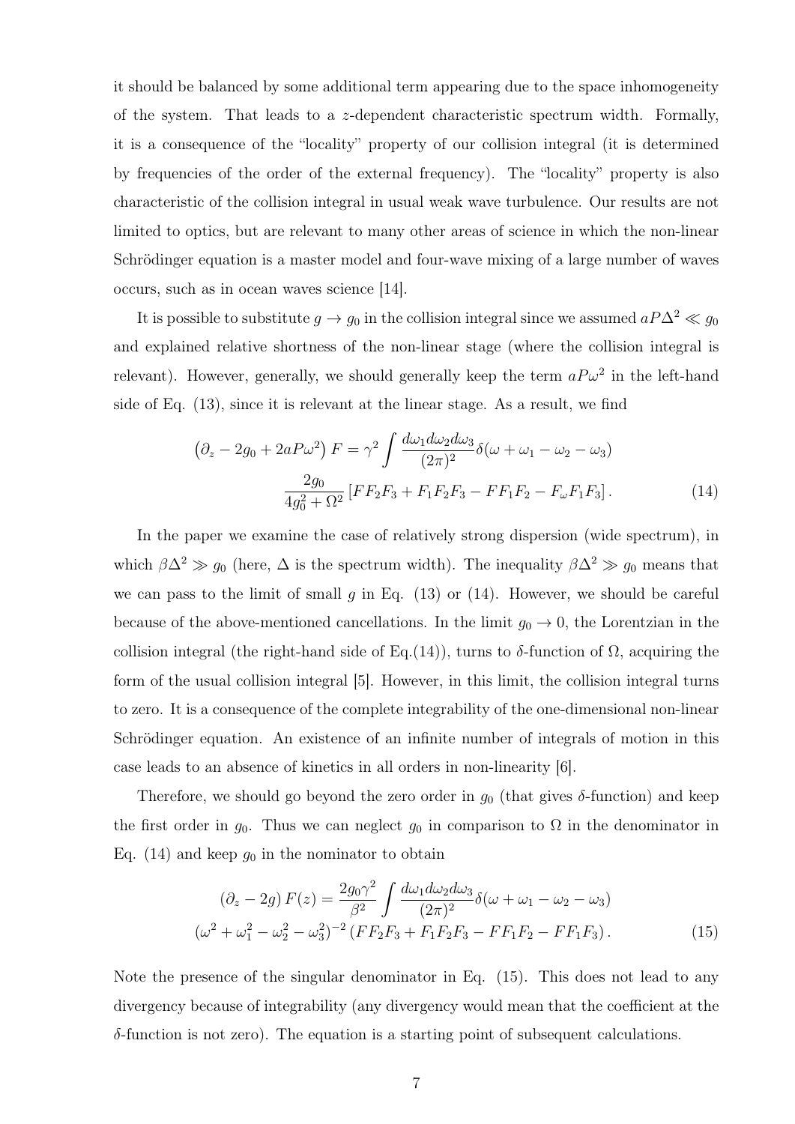it should be balanced by some additional term appearing due to the space inhomogeneity of the system. That leads to a z-dependent characteristic spectrum width. Formally, it is a consequence of the "locality" property of our collision integral (it is determined by frequencies of the order of the external frequency). The "locality" property is also characteristic of the collision integral in usual weak wave turbulence. Our results are not limited to optics, but are relevant to many other areas of science in which the non-linear Schrödinger equation is a master model and four-wave mixing of a large number of waves occurs, such as in ocean waves science [14].

It is possible to substitute  $g \to g_0$  in the collision integral since we assumed  $aP\Delta^2 \ll g_0$ and explained relative shortness of the non-linear stage (where the collision integral is relevant). However, generally, we should generally keep the term  $a P \omega^2$  in the left-hand side of Eq. (13), since it is relevant at the linear stage. As a result, we find

$$
\left(\partial_z - 2g_0 + 2aP\omega^2\right)F = \gamma^2 \int \frac{d\omega_1 d\omega_2 d\omega_3}{(2\pi)^2} \delta(\omega + \omega_1 - \omega_2 - \omega_3)
$$

$$
\frac{2g_0}{4g_0^2 + \Omega^2} \left[ FF_2F_3 + F_1F_2F_3 - FF_1F_2 - F_\omega F_1F_3\right].\tag{14}
$$

In the paper we examine the case of relatively strong dispersion (wide spectrum), in which  $\beta \Delta^2 \gg g_0$  (here,  $\Delta$  is the spectrum width). The inequality  $\beta \Delta^2 \gg g_0$  means that we can pass to the limit of small q in Eq. (13) or (14). However, we should be careful because of the above-mentioned cancellations. In the limit  $g_0 \to 0$ , the Lorentzian in the collision integral (the right-hand side of Eq.(14)), turns to  $\delta$ -function of  $\Omega$ , acquiring the form of the usual collision integral [5]. However, in this limit, the collision integral turns to zero. It is a consequence of the complete integrability of the one-dimensional non-linear Schrödinger equation. An existence of an infinite number of integrals of motion in this case leads to an absence of kinetics in all orders in non-linearity [6].

Therefore, we should go beyond the zero order in  $g_0$  (that gives  $\delta$ -function) and keep the first order in  $g_0$ . Thus we can neglect  $g_0$  in comparison to  $\Omega$  in the denominator in Eq. (14) and keep  $g_0$  in the nominator to obtain

$$
(\partial_z - 2g) F(z) = \frac{2g_0 \gamma^2}{\beta^2} \int \frac{d\omega_1 d\omega_2 d\omega_3}{(2\pi)^2} \delta(\omega + \omega_1 - \omega_2 - \omega_3)
$$
  

$$
(\omega^2 + \omega_1^2 - \omega_2^2 - \omega_3^2)^{-2} (F F_2 F_3 + F_1 F_2 F_3 - F F_1 F_2 - F F_1 F_3).
$$
 (15)

Note the presence of the singular denominator in Eq. (15). This does not lead to any divergency because of integrability (any divergency would mean that the coefficient at the  $\delta$ -function is not zero). The equation is a starting point of subsequent calculations.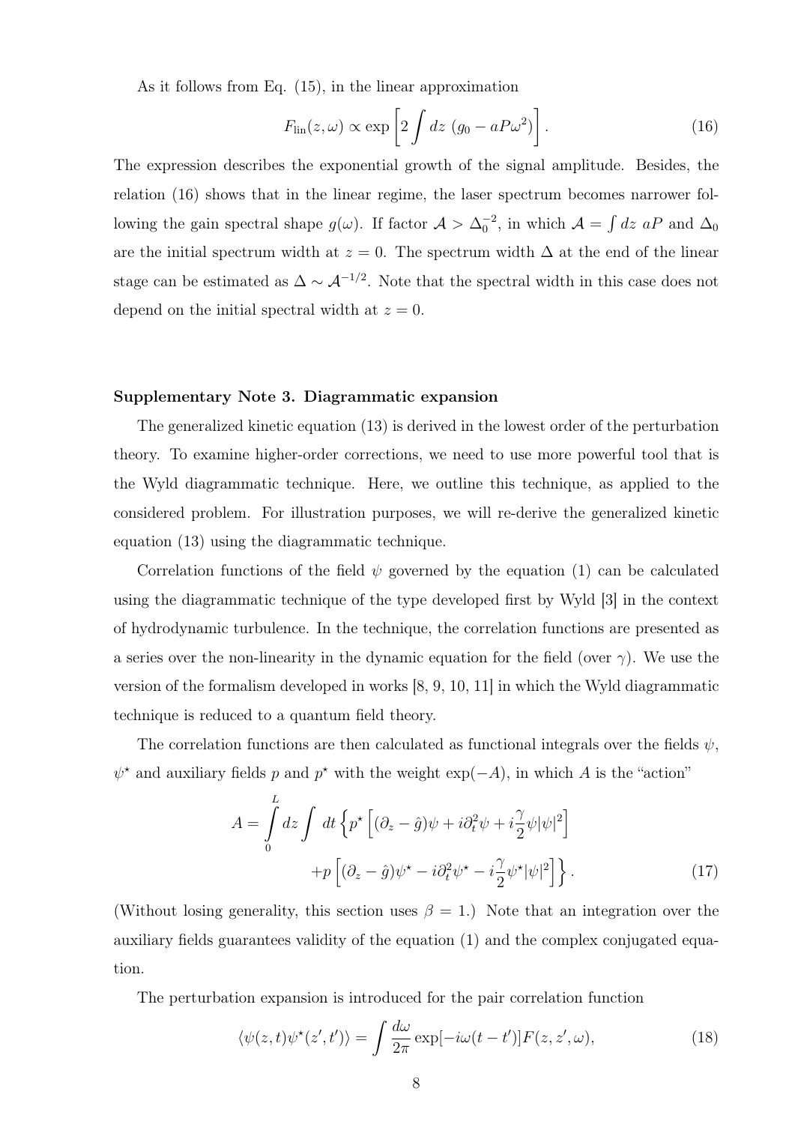As it follows from Eq. (15), in the linear approximation

$$
F_{\rm lin}(z,\omega) \propto \exp\left[2 \int dz \, (g_0 - aP\omega^2)\right]. \tag{16}
$$

The expression describes the exponential growth of the signal amplitude. Besides, the relation (16) shows that in the linear regime, the laser spectrum becomes narrower following the gain spectral shape  $g(\omega)$ . If factor  $\mathcal{A} > \Delta_0^{-2}$ , in which  $\mathcal{A} = \int dz \ aP$  and  $\Delta_0$ are the initial spectrum width at  $z = 0$ . The spectrum width  $\Delta$  at the end of the linear stage can be estimated as  $\Delta \sim \mathcal{A}^{-1/2}$ . Note that the spectral width in this case does not depend on the initial spectral width at  $z = 0$ .

#### Supplementary Note 3. Diagrammatic expansion

The generalized kinetic equation (13) is derived in the lowest order of the perturbation theory. To examine higher-order corrections, we need to use more powerful tool that is the Wyld diagrammatic technique. Here, we outline this technique, as applied to the considered problem. For illustration purposes, we will re-derive the generalized kinetic equation (13) using the diagrammatic technique.

Correlation functions of the field  $\psi$  governed by the equation (1) can be calculated using the diagrammatic technique of the type developed first by Wyld [3] in the context of hydrodynamic turbulence. In the technique, the correlation functions are presented as a series over the non-linearity in the dynamic equation for the field (over  $\gamma$ ). We use the version of the formalism developed in works [8, 9, 10, 11] in which the Wyld diagrammatic technique is reduced to a quantum field theory.

The correlation functions are then calculated as functional integrals over the fields  $\psi$ ,  $\psi^*$  and auxiliary fields p and p<sup>\*</sup> with the weight exp(-A), in which A is the "action"

$$
A = \int_{0}^{L} dz \int dt \left\{ p^{\star} \left[ (\partial_z - \hat{g}) \psi + i \partial_t^2 \psi + i \frac{\gamma}{2} \psi |\psi|^2 \right] + p \left[ (\partial_z - \hat{g}) \psi^{\star} - i \partial_t^2 \psi^{\star} - i \frac{\gamma}{2} \psi^{\star} |\psi|^2 \right] \right\}.
$$
 (17)

(Without losing generality, this section uses  $\beta = 1$ .) Note that an integration over the auxiliary fields guarantees validity of the equation (1) and the complex conjugated equation.

The perturbation expansion is introduced for the pair correlation function

$$
\langle \psi(z,t)\psi^*(z',t')\rangle = \int \frac{d\omega}{2\pi} \exp[-i\omega(t-t')]F(z,z',\omega),\tag{18}
$$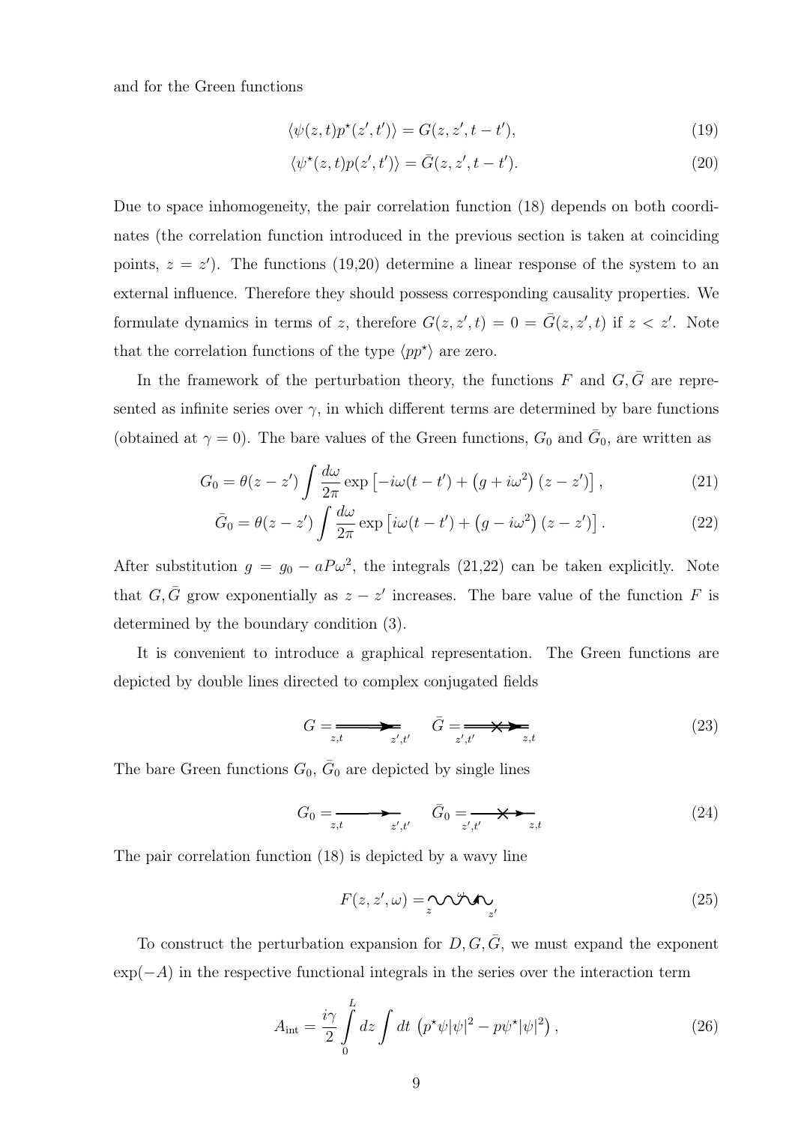and for the Green functions

$$
\langle \psi(z,t)p^*(z',t') \rangle = G(z,z',t-t'),\tag{19}
$$

$$
\langle \psi^*(z,t)p(z',t') \rangle = \bar{G}(z,z',t-t'). \tag{20}
$$

Due to space inhomogeneity, the pair correlation function (18) depends on both coordinates (the correlation function introduced in the previous section is taken at coinciding points,  $z = z'$ ). The functions (19,20) determine a linear response of the system to an external influence. Therefore they should possess corresponding causality properties. We formulate dynamics in terms of z, therefore  $G(z, z', t) = 0 = \overline{G}(z, z', t)$  if  $z < z'$ . Note that the correlation functions of the type  $\langle pp^* \rangle$  are zero.

In the framework of the perturbation theory, the functions  $F$  and  $G, \bar{G}$  are represented as infinite series over  $\gamma$ , in which different terms are determined by bare functions (obtained at  $\gamma = 0$ ). The bare values of the Green functions,  $G_0$  and  $\bar{G}_0$ , are written as

$$
G_0 = \theta(z - z') \int \frac{d\omega}{2\pi} \exp\left[-i\omega(t - t') + (g + i\omega^2)(z - z')\right],\tag{21}
$$

$$
\bar{G}_0 = \theta(z - z') \int \frac{d\omega}{2\pi} \exp\left[i\omega(t - t') + (g - i\omega^2)(z - z')\right].
$$
 (22)

After substitution  $g = g_0 - aP\omega^2$ , the integrals (21,22) can be taken explicitly. Note that  $G, \bar{G}$  grow exponentially as  $z - z'$  increases. The bare value of the function F is determined by the boundary condition (3).

It is convenient to introduce a graphical representation. The Green functions are depicted by double lines directed to complex conjugated fields

$$
G = \underbrace{\qquad \qquad}_{z,t} \qquad \bar{G} = \underbrace{\qquad \qquad}_{z',t'} \qquad (23)
$$

The bare Green functions  $G_0$ ,  $\bar{G}_0$  are depicted by single lines

$$
G_0 = \underset{z',t'}{\underbrace{\qquad \qquad }} \qquad \bar{G}_0 = \underset{z',t'}{\underbrace{\qquad \qquad }} \qquad \qquad }\tag{24}
$$

The pair correlation function (18) is depicted by a wavy line

$$
F(z, z', \omega) = \underset{z}{\sim} \mathcal{N} \mathcal{N} \mathcal{N} \mathcal{N} \tag{25}
$$

To construct the perturbation expansion for  $D, G, \overline{G}$ , we must expand the exponent  $\exp(-A)$  in the respective functional integrals in the series over the interaction term

$$
A_{\rm int} = \frac{i\gamma}{2} \int\limits_0^L dz \int dt \, \left( p^\star \psi |\psi|^2 - p\psi^\star |\psi|^2 \right), \tag{26}
$$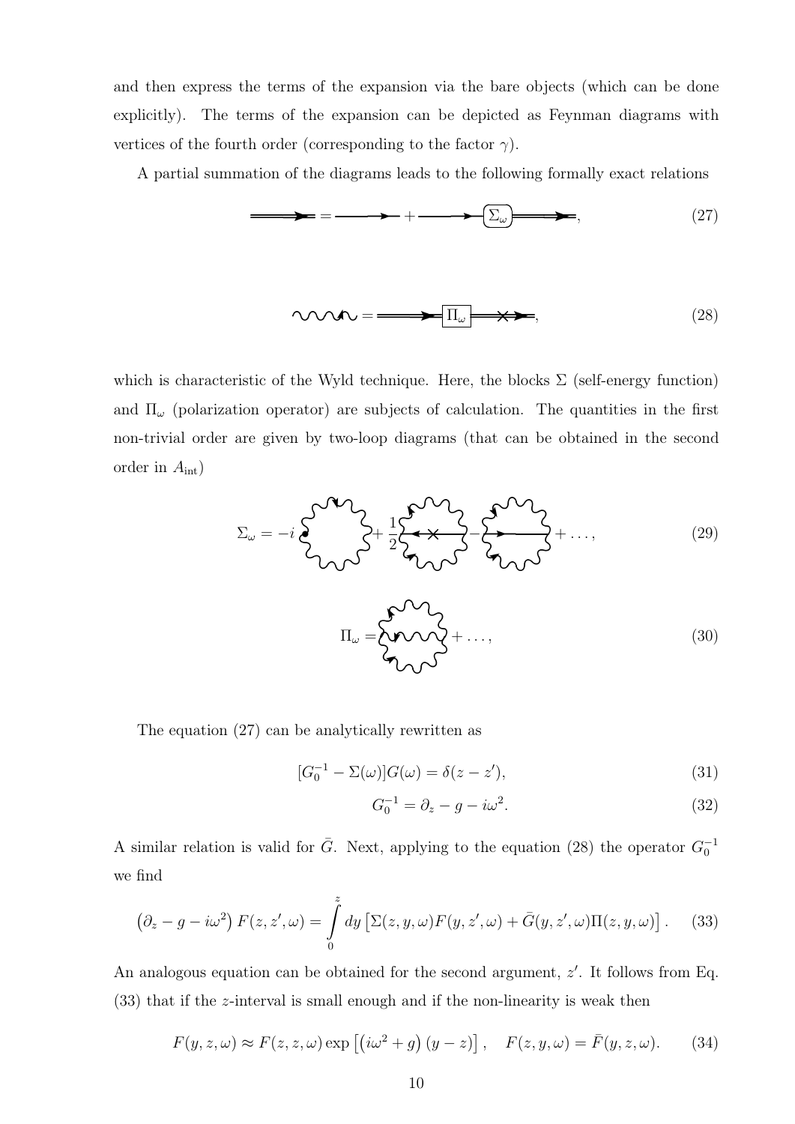and then express the terms of the expansion via the bare objects (which can be done explicitly). The terms of the expansion can be depicted as Feynman diagrams with vertices of the fourth order (corresponding to the factor  $\gamma$ ).

A partial summation of the diagrams leads to the following formally exact relations

$$
\begin{array}{c}\n\hline\n\end{array}\n\qquad\n\begin{array}{c}\n\hline\n\end{array}\n\qquad (27)
$$
\n
$$
\begin{array}{c}\n\hline\n\end{array}\n\qquad\n\begin{array}{c}\n\hline\n\end{array}\n\qquad (28)
$$

which is characteristic of the Wyld technique. Here, the blocks  $\Sigma$  (self-energy function) and  $\Pi_{\omega}$  (polarization operator) are subjects of calculation. The quantities in the first non-trivial order are given by two-loop diagrams (that can be obtained in the second order in  $A_{\text{int}}$ )

$$
\Sigma_{\omega} = -i\sum_{\mathcal{U}}\sum_{\mathcal{U}}\sum_{\mathcal{V}} + \frac{1}{2}\sum_{\mathcal{U}}\sum_{\mathcal{U}}\sum_{\mathcal{V}} + \sum_{\mathcal{U}}\sum_{\mathcal{U}}\sum_{\mathcal{V}} + \dots, \tag{29}
$$

$$
\Pi_{\omega} = \begin{cases} \sqrt{2} & \text{if } \omega & \text{if } \omega \leq 1 \\ \sqrt{2} & \text{if } \omega & \text{if } \omega \leq 1 \end{cases}
$$

The equation (27) can be analytically rewritten as

$$
[G_0^{-1} - \Sigma(\omega)]G(\omega) = \delta(z - z'),\tag{31}
$$

$$
G_0^{-1} = \partial_z - g - i\omega^2. \tag{32}
$$

A similar relation is valid for  $\bar{G}$ . Next, applying to the equation (28) the operator  $G_0^{-1}$ we find

$$
\left(\partial_z - g - i\omega^2\right) F(z, z', \omega) = \int_0^z dy \left[\Sigma(z, y, \omega) F(y, z', \omega) + \bar{G}(y, z', \omega) \Pi(z, y, \omega)\right].
$$
 (33)

An analogous equation can be obtained for the second argument,  $z'$ . It follows from Eq. (33) that if the z-interval is small enough and if the non-linearity is weak then

$$
F(y, z, \omega) \approx F(z, z, \omega) \exp \left[ \left( i\omega^2 + g \right) (y - z) \right], \quad F(z, y, \omega) = \bar{F}(y, z, \omega). \tag{34}
$$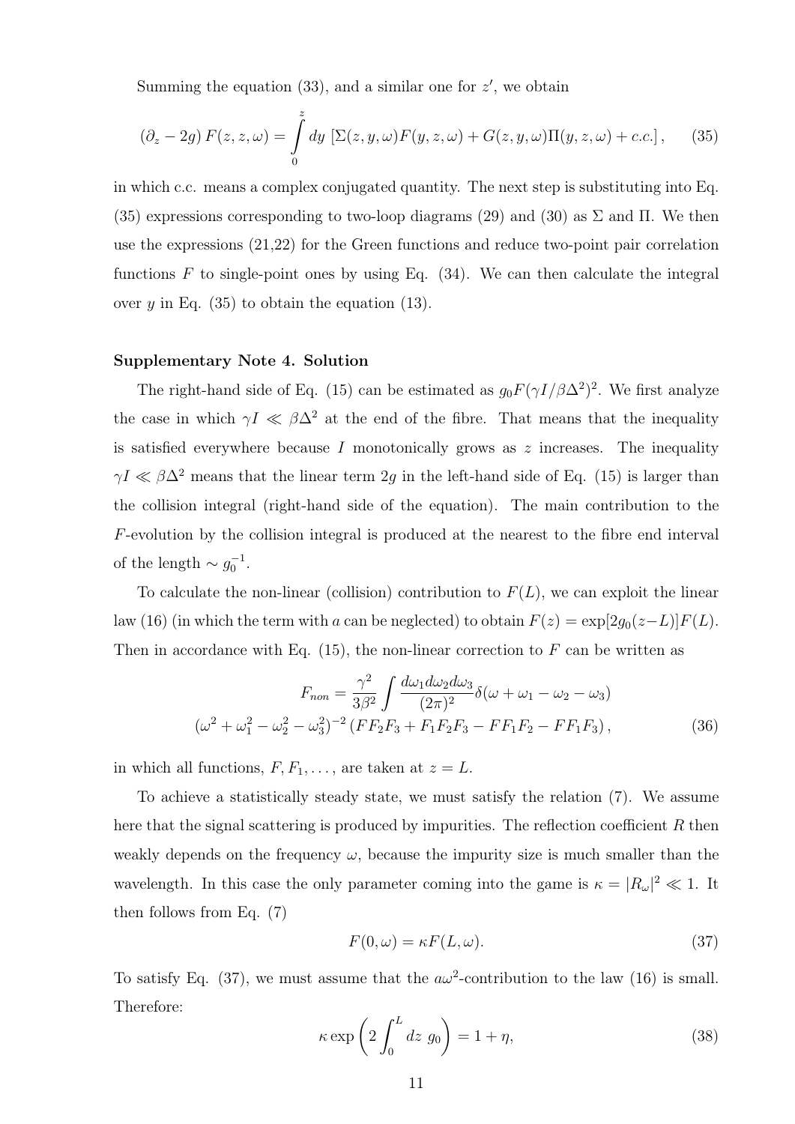Summing the equation  $(33)$ , and a similar one for  $z'$ , we obtain

$$
(\partial_z - 2g) F(z, z, \omega) = \int_0^z dy \, \left[ \Sigma(z, y, \omega) F(y, z, \omega) + G(z, y, \omega) \Pi(y, z, \omega) + c.c. \right], \tag{35}
$$

in which c.c. means a complex conjugated quantity. The next step is substituting into Eq. (35) expressions corresponding to two-loop diagrams (29) and (30) as  $\Sigma$  and  $\Pi$ . We then use the expressions (21,22) for the Green functions and reduce two-point pair correlation functions  $F$  to single-point ones by using Eq. (34). We can then calculate the integral over y in Eq.  $(35)$  to obtain the equation  $(13)$ .

# Supplementary Note 4. Solution

The right-hand side of Eq. (15) can be estimated as  $g_0 F(\gamma I/\beta \Delta^2)^2$ . We first analyze the case in which  $\gamma I \ll \beta \Delta^2$  at the end of the fibre. That means that the inequality is satisfied everywhere because I monotonically grows as  $z$  increases. The inequality  $\gamma I \ll \beta \Delta^2$  means that the linear term 2g in the left-hand side of Eq. (15) is larger than the collision integral (right-hand side of the equation). The main contribution to the F-evolution by the collision integral is produced at the nearest to the fibre end interval of the length  $\sim g_0^{-1}$ .

To calculate the non-linear (collision) contribution to  $F(L)$ , we can exploit the linear law (16) (in which the term with a can be neglected) to obtain  $F(z) = \exp[2g_0(z-L)]F(L)$ . Then in accordance with Eq.  $(15)$ , the non-linear correction to F can be written as

$$
F_{non} = \frac{\gamma^2}{3\beta^2} \int \frac{d\omega_1 d\omega_2 d\omega_3}{(2\pi)^2} \delta(\omega + \omega_1 - \omega_2 - \omega_3)
$$
  

$$
(\omega^2 + \omega_1^2 - \omega_2^2 - \omega_3^2)^{-2} (F F_2 F_3 + F_1 F_2 F_3 - F F_1 F_2 - F F_1 F_3),
$$
 (36)

in which all functions,  $F, F_1, \ldots$ , are taken at  $z = L$ .

To achieve a statistically steady state, we must satisfy the relation (7). We assume here that the signal scattering is produced by impurities. The reflection coefficient  $R$  then weakly depends on the frequency  $\omega$ , because the impurity size is much smaller than the wavelength. In this case the only parameter coming into the game is  $\kappa = |R_{\omega}|^2 \ll 1$ . It then follows from Eq. (7)

$$
F(0,\omega) = \kappa F(L,\omega). \tag{37}
$$

To satisfy Eq. (37), we must assume that the  $a\omega^2$ -contribution to the law (16) is small. Therefore:

$$
\kappa \exp\left(2 \int_0^L dz \ g_0\right) = 1 + \eta,\tag{38}
$$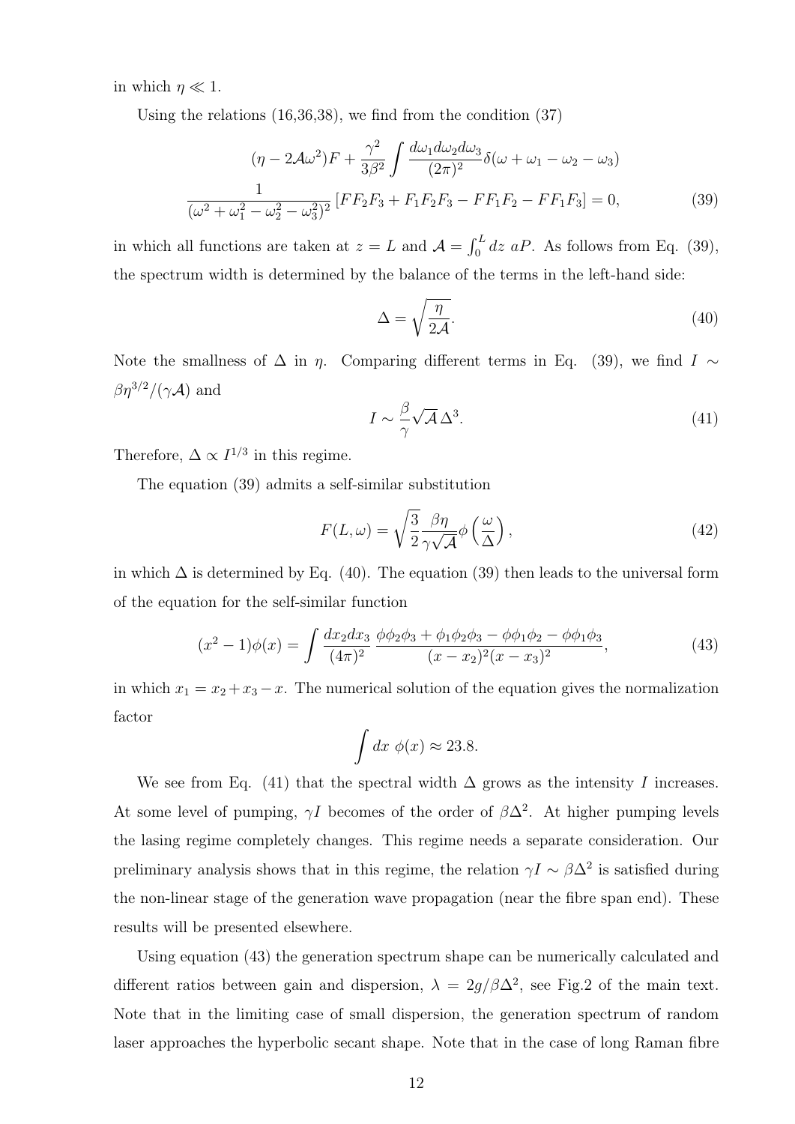in which  $\eta \ll 1$ .

Using the relations (16,36,38), we find from the condition (37)

$$
(\eta - 2\mathcal{A}\omega^2)F + \frac{\gamma^2}{3\beta^2} \int \frac{d\omega_1 d\omega_2 d\omega_3}{(2\pi)^2} \delta(\omega + \omega_1 - \omega_2 - \omega_3)
$$

$$
\frac{1}{(\omega^2 + \omega_1^2 - \omega_2^2 - \omega_3^2)^2} \left[ FF_2F_3 + F_1F_2F_3 - FF_1F_2 - FF_1F_3\right] = 0,
$$
(39)

in which all functions are taken at  $z = L$  and  $\mathcal{A} = \int_0^L dz \; aP$ . As follows from Eq. (39), the spectrum width is determined by the balance of the terms in the left-hand side:

$$
\Delta = \sqrt{\frac{\eta}{2\mathcal{A}}}.\tag{40}
$$

Note the smallness of  $\Delta$  in  $\eta$ . Comparing different terms in Eq. (39), we find  $I \sim$  $\beta \eta^{3/2}/(\gamma \mathcal{A})$  and

$$
I \sim \frac{\beta}{\gamma} \sqrt{\mathcal{A}} \,\Delta^3. \tag{41}
$$

Therefore,  $\Delta \propto I^{1/3}$  in this regime.

The equation (39) admits a self-similar substitution

$$
F(L,\omega) = \sqrt{\frac{3}{2}} \frac{\beta \eta}{\gamma \sqrt{\mathcal{A}}} \phi\left(\frac{\omega}{\Delta}\right),\tag{42}
$$

in which  $\Delta$  is determined by Eq. (40). The equation (39) then leads to the universal form of the equation for the self-similar function

$$
(x^{2} - 1)\phi(x) = \int \frac{dx_{2}dx_{3}}{(4\pi)^{2}} \frac{\phi\phi_{2}\phi_{3} + \phi_{1}\phi_{2}\phi_{3} - \phi\phi_{1}\phi_{2} - \phi\phi_{1}\phi_{3}}{(x - x_{2})^{2}(x - x_{3})^{2}},
$$
\n(43)

in which  $x_1 = x_2 + x_3 - x$ . The numerical solution of the equation gives the normalization factor

$$
\int dx \; \phi(x) \approx 23.8.
$$

We see from Eq. (41) that the spectral width  $\Delta$  grows as the intensity I increases. At some level of pumping,  $\gamma I$  becomes of the order of  $\beta \Delta^2$ . At higher pumping levels the lasing regime completely changes. This regime needs a separate consideration. Our preliminary analysis shows that in this regime, the relation  $\gamma I \sim \beta \Delta^2$  is satisfied during the non-linear stage of the generation wave propagation (near the fibre span end). These results will be presented elsewhere.

Using equation (43) the generation spectrum shape can be numerically calculated and different ratios between gain and dispersion,  $\lambda = 2g/\beta\Delta^2$ , see Fig.2 of the main text. Note that in the limiting case of small dispersion, the generation spectrum of random laser approaches the hyperbolic secant shape. Note that in the case of long Raman fibre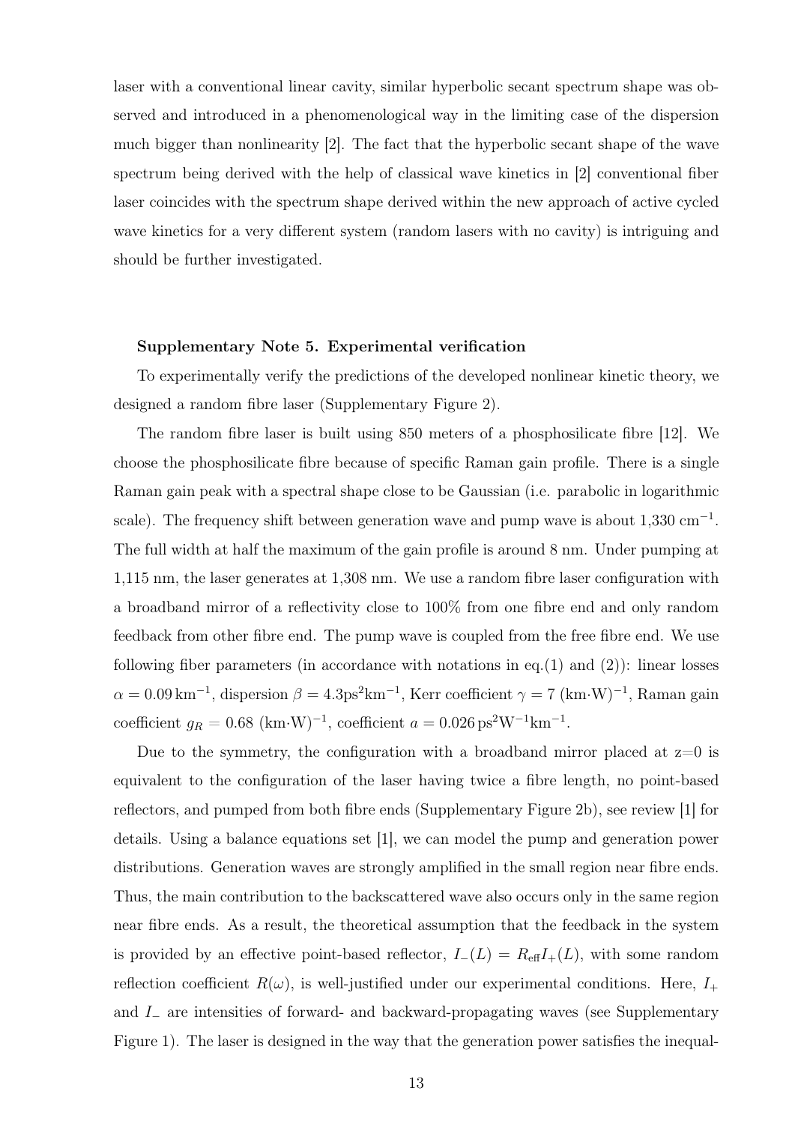laser with a conventional linear cavity, similar hyperbolic secant spectrum shape was observed and introduced in a phenomenological way in the limiting case of the dispersion much bigger than nonlinearity [2]. The fact that the hyperbolic secant shape of the wave spectrum being derived with the help of classical wave kinetics in [2] conventional fiber laser coincides with the spectrum shape derived within the new approach of active cycled wave kinetics for a very different system (random lasers with no cavity) is intriguing and should be further investigated.

## Supplementary Note 5. Experimental verification

To experimentally verify the predictions of the developed nonlinear kinetic theory, we designed a random fibre laser (Supplementary Figure 2).

The random fibre laser is built using 850 meters of a phosphosilicate fibre [12]. We choose the phosphosilicate fibre because of specific Raman gain profile. There is a single Raman gain peak with a spectral shape close to be Gaussian (i.e. parabolic in logarithmic scale). The frequency shift between generation wave and pump wave is about  $1,330 \text{ cm}^{-1}$ . The full width at half the maximum of the gain profile is around 8 nm. Under pumping at 1,115 nm, the laser generates at 1,308 nm. We use a random fibre laser configuration with a broadband mirror of a reflectivity close to 100% from one fibre end and only random feedback from other fibre end. The pump wave is coupled from the free fibre end. We use following fiber parameters (in accordance with notations in eq.(1) and (2)): linear losses  $\alpha = 0.09 \,\mathrm{km}^{-1}$ , dispersion  $\beta = 4.3 \text{ps}^2 \text{km}^{-1}$ , Kerr coefficient  $\gamma = 7 \text{ (km-W)}^{-1}$ , Raman gain coefficient  $g_R = 0.68 \text{ (km·W)}^{-1}$ , coefficient  $a = 0.026 \text{ ps}^2 \text{W}^{-1} \text{km}^{-1}$ .

Due to the symmetry, the configuration with a broadband mirror placed at  $z=0$  is equivalent to the configuration of the laser having twice a fibre length, no point-based reflectors, and pumped from both fibre ends (Supplementary Figure 2b), see review [1] for details. Using a balance equations set [1], we can model the pump and generation power distributions. Generation waves are strongly amplified in the small region near fibre ends. Thus, the main contribution to the backscattered wave also occurs only in the same region near fibre ends. As a result, the theoretical assumption that the feedback in the system is provided by an effective point-based reflector,  $I_{-}(L) = R_{\text{eff}}I_{+}(L)$ , with some random reflection coefficient  $R(\omega)$ , is well-justified under our experimental conditions. Here,  $I_+$ and I<sup>−</sup> are intensities of forward- and backward-propagating waves (see Supplementary Figure 1). The laser is designed in the way that the generation power satisfies the inequal-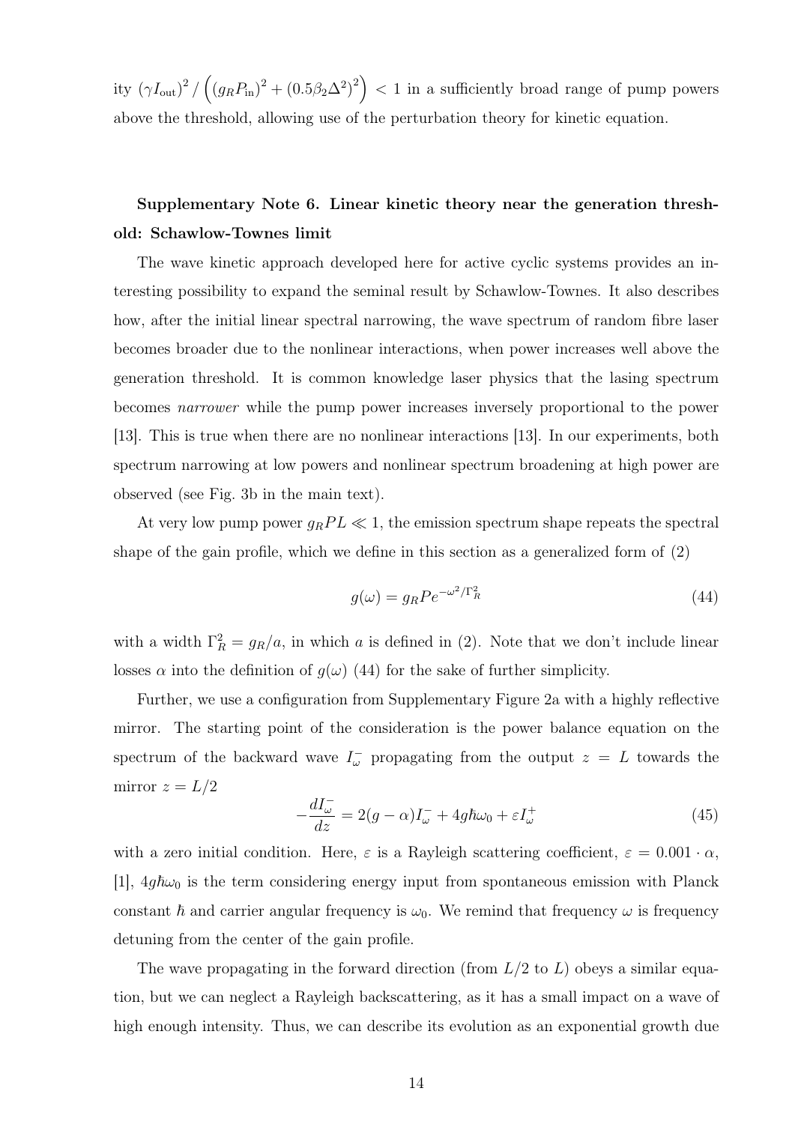ity  $(\gamma I_{\text{out}})^2 / ((g_R P_{\text{in}})^2 + (0.5 \beta_2 \Delta^2)^2) < 1$  in a sufficiently broad range of pump powers above the threshold, allowing use of the perturbation theory for kinetic equation.

# Supplementary Note 6. Linear kinetic theory near the generation threshold: Schawlow-Townes limit

The wave kinetic approach developed here for active cyclic systems provides an interesting possibility to expand the seminal result by Schawlow-Townes. It also describes how, after the initial linear spectral narrowing, the wave spectrum of random fibre laser becomes broader due to the nonlinear interactions, when power increases well above the generation threshold. It is common knowledge laser physics that the lasing spectrum becomes narrower while the pump power increases inversely proportional to the power [13]. This is true when there are no nonlinear interactions [13]. In our experiments, both spectrum narrowing at low powers and nonlinear spectrum broadening at high power are observed (see Fig. 3b in the main text).

At very low pump power  $g_RPL \ll 1$ , the emission spectrum shape repeats the spectral shape of the gain profile, which we define in this section as a generalized form of (2)

$$
g(\omega) = g_R P e^{-\omega^2/\Gamma_R^2}
$$
\n(44)

with a width  $\Gamma_R^2 = g_R/a$ , in which a is defined in (2). Note that we don't include linear losses  $\alpha$  into the definition of  $g(\omega)$  (44) for the sake of further simplicity.

Further, we use a configuration from Supplementary Figure 2a with a highly reflective mirror. The starting point of the consideration is the power balance equation on the spectrum of the backward wave  $I_{\omega}^-$  propagating from the output  $z = L$  towards the mirror  $z = L/2$ 

$$
-\frac{dI_{\omega}^{-}}{dz} = 2(g - \alpha)I_{\omega}^{-} + 4g\hbar\omega_{0} + \varepsilon I_{\omega}^{+}
$$
\n(45)

with a zero initial condition. Here,  $\varepsilon$  is a Rayleigh scattering coefficient,  $\varepsilon = 0.001 \cdot \alpha$ , [1],  $4g\hbar\omega_0$  is the term considering energy input from spontaneous emission with Planck constant  $\hbar$  and carrier angular frequency is  $\omega_0$ . We remind that frequency  $\omega$  is frequency detuning from the center of the gain profile.

The wave propagating in the forward direction (from  $L/2$  to  $L$ ) obeys a similar equation, but we can neglect a Rayleigh backscattering, as it has a small impact on a wave of high enough intensity. Thus, we can describe its evolution as an exponential growth due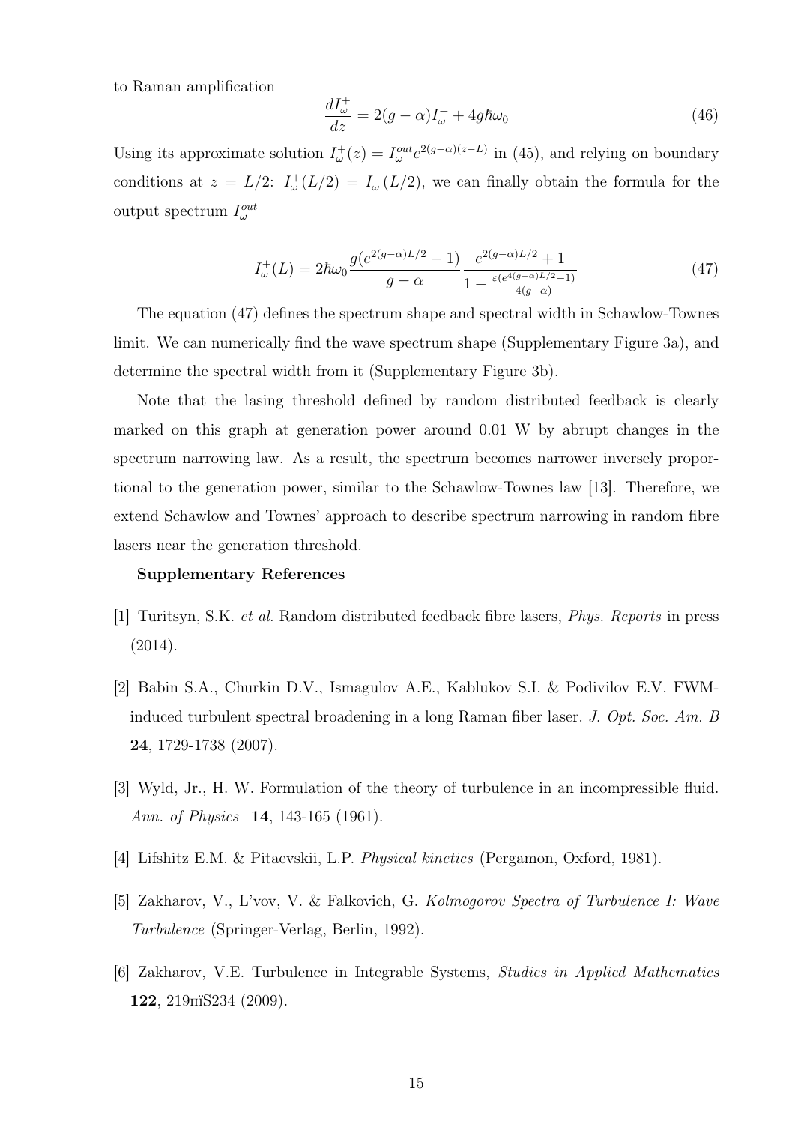to Raman amplification

$$
\frac{dI_{\omega}^{+}}{dz} = 2(g - \alpha)I_{\omega}^{+} + 4g\hbar\omega_{0}
$$
\n(46)

Using its approximate solution  $I_{\omega}^{+}(z) = I_{\omega}^{out} e^{2(g-\alpha)(z-L)}$  in (45), and relying on boundary conditions at  $z = L/2$ :  $I^+_{\omega}(L/2) = I^-_{\omega}(L/2)$ , we can finally obtain the formula for the output spectrum  $I_{\omega}^{out}$ 

$$
I_{\omega}^{+}(L) = 2\hbar\omega_0 \frac{g(e^{2(g-\alpha)L/2} - 1)}{g - \alpha} \frac{e^{2(g-\alpha)L/2} + 1}{1 - \frac{\varepsilon(e^{4(g-\alpha)L/2} - 1)}{4(g-\alpha)}}
$$
(47)

The equation (47) defines the spectrum shape and spectral width in Schawlow-Townes limit. We can numerically find the wave spectrum shape (Supplementary Figure 3a), and determine the spectral width from it (Supplementary Figure 3b).

Note that the lasing threshold defined by random distributed feedback is clearly marked on this graph at generation power around 0.01 W by abrupt changes in the spectrum narrowing law. As a result, the spectrum becomes narrower inversely proportional to the generation power, similar to the Schawlow-Townes law [13]. Therefore, we extend Schawlow and Townes' approach to describe spectrum narrowing in random fibre lasers near the generation threshold.

### Supplementary References

- [1] Turitsyn, S.K. et al. Random distributed feedback fibre lasers, Phys. Reports in press (2014).
- [2] Babin S.A., Churkin D.V., Ismagulov A.E., Kablukov S.I. & Podivilov E.V. FWMinduced turbulent spectral broadening in a long Raman fiber laser. J. Opt. Soc. Am. B 24, 1729-1738 (2007).
- [3] Wyld, Jr., H. W. Formulation of the theory of turbulence in an incompressible fluid. Ann. of Physics **14**, 143-165 (1961).
- [4] Lifshitz E.M. & Pitaevskii, L.P. Physical kinetics (Pergamon, Oxford, 1981).
- [5] Zakharov, V., L'vov, V. & Falkovich, G. Kolmogorov Spectra of Turbulence I: Wave Turbulence (Springer-Verlag, Berlin, 1992).
- [6] Zakharov, V.E. Turbulence in Integrable Systems, Studies in Applied Mathematics 122, 219пїЅ234 (2009).